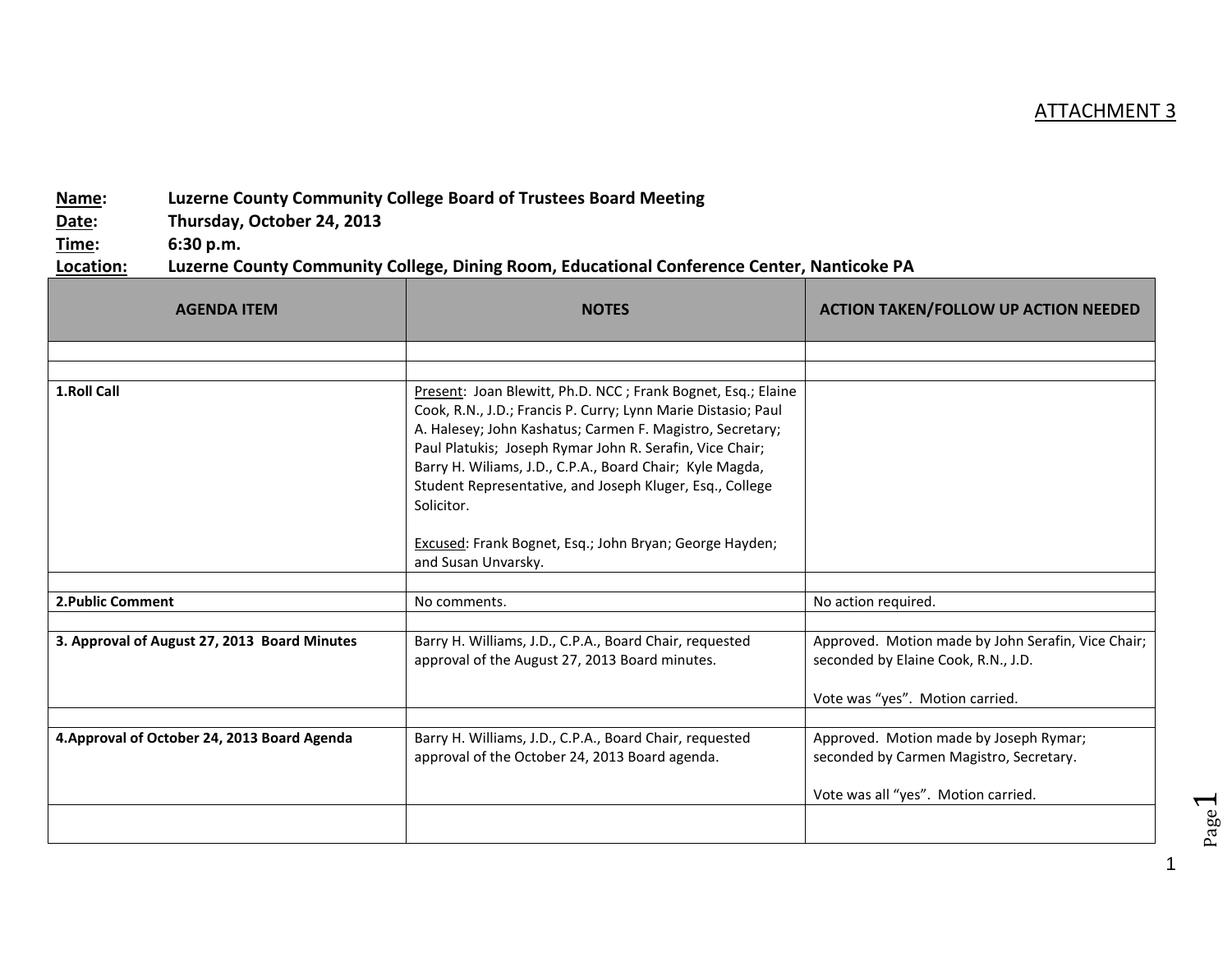## ATTACHMENT 3

## **Name: Luzerne County Community College Board of Trustees Board Meeting**

**Date: Thursday, October 24, 2013**

**Time: 6:30 p.m.**

## **Location: Luzerne County Community College, Dining Room, Educational Conference Center, Nanticoke PA**

| <b>AGENDA ITEM</b>                           | <b>NOTES</b>                                                                                                                                                                                                                                                                                                                                                                                 | <b>ACTION TAKEN/FOLLOW UP ACTION NEEDED</b>                                                                                  |
|----------------------------------------------|----------------------------------------------------------------------------------------------------------------------------------------------------------------------------------------------------------------------------------------------------------------------------------------------------------------------------------------------------------------------------------------------|------------------------------------------------------------------------------------------------------------------------------|
|                                              |                                                                                                                                                                                                                                                                                                                                                                                              |                                                                                                                              |
|                                              |                                                                                                                                                                                                                                                                                                                                                                                              |                                                                                                                              |
| 1.Roll Call                                  | Present: Joan Blewitt, Ph.D. NCC; Frank Bognet, Esq.; Elaine<br>Cook, R.N., J.D.; Francis P. Curry; Lynn Marie Distasio; Paul<br>A. Halesey; John Kashatus; Carmen F. Magistro, Secretary;<br>Paul Platukis; Joseph Rymar John R. Serafin, Vice Chair;<br>Barry H. Wiliams, J.D., C.P.A., Board Chair; Kyle Magda,<br>Student Representative, and Joseph Kluger, Esq., College<br>Solicitor. |                                                                                                                              |
|                                              | Excused: Frank Bognet, Esq.; John Bryan; George Hayden;<br>and Susan Unvarsky.                                                                                                                                                                                                                                                                                                               |                                                                                                                              |
| <b>2. Public Comment</b>                     | No comments.                                                                                                                                                                                                                                                                                                                                                                                 | No action required.                                                                                                          |
|                                              |                                                                                                                                                                                                                                                                                                                                                                                              |                                                                                                                              |
| 3. Approval of August 27, 2013 Board Minutes | Barry H. Williams, J.D., C.P.A., Board Chair, requested<br>approval of the August 27, 2013 Board minutes.                                                                                                                                                                                                                                                                                    | Approved. Motion made by John Serafin, Vice Chair;<br>seconded by Elaine Cook, R.N., J.D.<br>Vote was "yes". Motion carried. |
|                                              |                                                                                                                                                                                                                                                                                                                                                                                              |                                                                                                                              |
| 4. Approval of October 24, 2013 Board Agenda | Barry H. Williams, J.D., C.P.A., Board Chair, requested<br>approval of the October 24, 2013 Board agenda.                                                                                                                                                                                                                                                                                    | Approved. Motion made by Joseph Rymar;<br>seconded by Carmen Magistro, Secretary.<br>Vote was all "yes". Motion carried.     |
|                                              |                                                                                                                                                                                                                                                                                                                                                                                              |                                                                                                                              |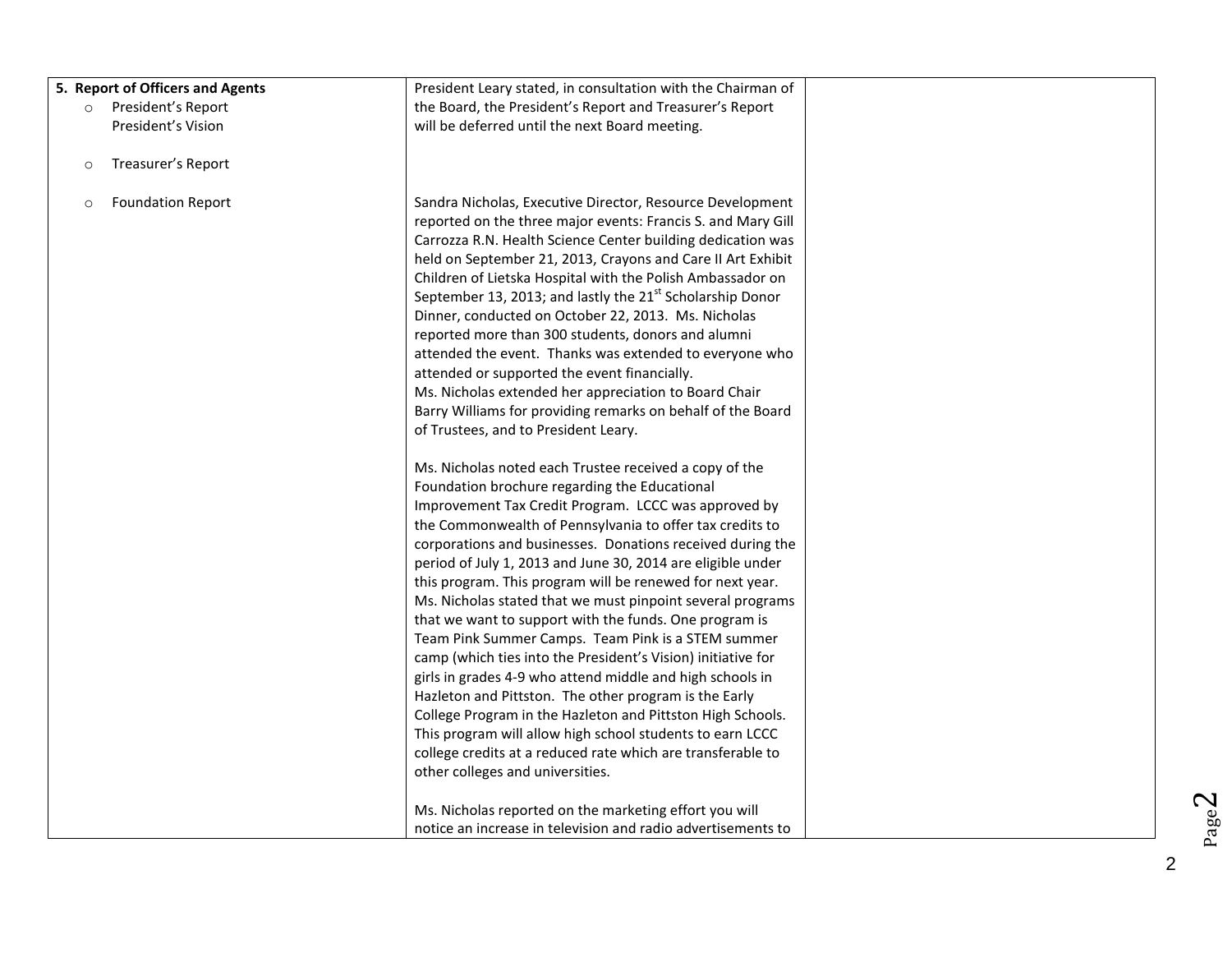| 5. Report of Officers and Agents    | President Leary stated, in consultation with the Chairman of          |  |
|-------------------------------------|-----------------------------------------------------------------------|--|
| President's Report<br>$\circ$       | the Board, the President's Report and Treasurer's Report              |  |
| President's Vision                  | will be deferred until the next Board meeting.                        |  |
|                                     |                                                                       |  |
| Treasurer's Report<br>$\circ$       |                                                                       |  |
|                                     |                                                                       |  |
| <b>Foundation Report</b><br>$\circ$ | Sandra Nicholas, Executive Director, Resource Development             |  |
|                                     | reported on the three major events: Francis S. and Mary Gill          |  |
|                                     | Carrozza R.N. Health Science Center building dedication was           |  |
|                                     | held on September 21, 2013, Crayons and Care II Art Exhibit           |  |
|                                     | Children of Lietska Hospital with the Polish Ambassador on            |  |
|                                     | September 13, 2013; and lastly the 21 <sup>st</sup> Scholarship Donor |  |
|                                     | Dinner, conducted on October 22, 2013. Ms. Nicholas                   |  |
|                                     | reported more than 300 students, donors and alumni                    |  |
|                                     | attended the event. Thanks was extended to everyone who               |  |
|                                     | attended or supported the event financially.                          |  |
|                                     | Ms. Nicholas extended her appreciation to Board Chair                 |  |
|                                     | Barry Williams for providing remarks on behalf of the Board           |  |
|                                     | of Trustees, and to President Leary.                                  |  |
|                                     |                                                                       |  |
|                                     | Ms. Nicholas noted each Trustee received a copy of the                |  |
|                                     | Foundation brochure regarding the Educational                         |  |
|                                     | Improvement Tax Credit Program. LCCC was approved by                  |  |
|                                     | the Commonwealth of Pennsylvania to offer tax credits to              |  |
|                                     | corporations and businesses. Donations received during the            |  |
|                                     | period of July 1, 2013 and June 30, 2014 are eligible under           |  |
|                                     | this program. This program will be renewed for next year.             |  |
|                                     | Ms. Nicholas stated that we must pinpoint several programs            |  |
|                                     | that we want to support with the funds. One program is                |  |
|                                     | Team Pink Summer Camps. Team Pink is a STEM summer                    |  |
|                                     | camp (which ties into the President's Vision) initiative for          |  |
|                                     | girls in grades 4-9 who attend middle and high schools in             |  |
|                                     | Hazleton and Pittston. The other program is the Early                 |  |
|                                     | College Program in the Hazleton and Pittston High Schools.            |  |
|                                     | This program will allow high school students to earn LCCC             |  |
|                                     | college credits at a reduced rate which are transferable to           |  |
|                                     | other colleges and universities.                                      |  |
|                                     |                                                                       |  |
|                                     | Ms. Nicholas reported on the marketing effort you will                |  |
|                                     | notice an increase in television and radio advertisements to          |  |

 $Page<sup>2</sup>$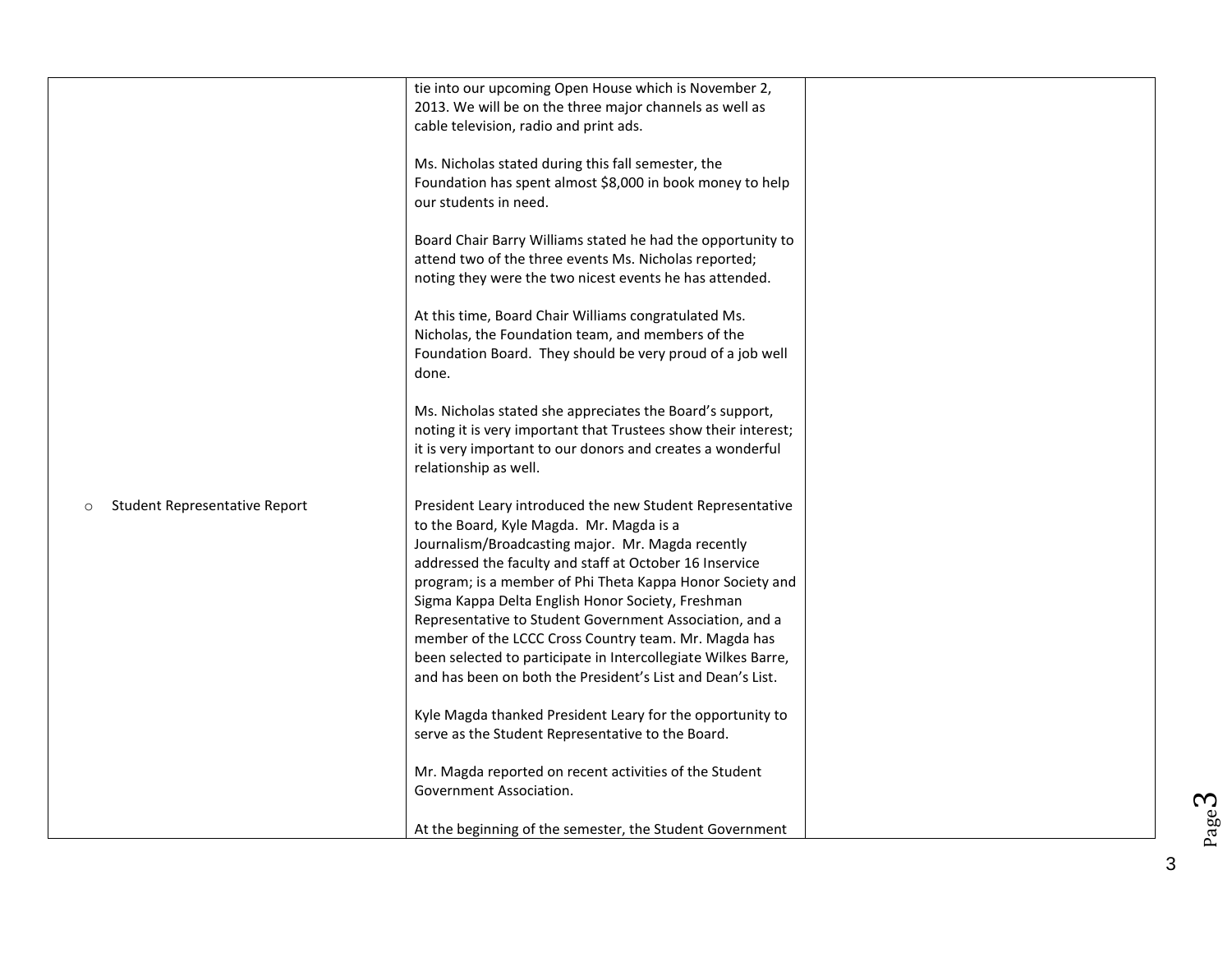|                                    | tie into our upcoming Open House which is November 2,<br>2013. We will be on the three major channels as well as<br>cable television, radio and print ads.                                                                                                                                                                                                                                                                                                                                                                                                                                |  |
|------------------------------------|-------------------------------------------------------------------------------------------------------------------------------------------------------------------------------------------------------------------------------------------------------------------------------------------------------------------------------------------------------------------------------------------------------------------------------------------------------------------------------------------------------------------------------------------------------------------------------------------|--|
|                                    | Ms. Nicholas stated during this fall semester, the<br>Foundation has spent almost \$8,000 in book money to help<br>our students in need.                                                                                                                                                                                                                                                                                                                                                                                                                                                  |  |
|                                    | Board Chair Barry Williams stated he had the opportunity to<br>attend two of the three events Ms. Nicholas reported;<br>noting they were the two nicest events he has attended.                                                                                                                                                                                                                                                                                                                                                                                                           |  |
|                                    | At this time, Board Chair Williams congratulated Ms.<br>Nicholas, the Foundation team, and members of the<br>Foundation Board. They should be very proud of a job well<br>done.                                                                                                                                                                                                                                                                                                                                                                                                           |  |
|                                    | Ms. Nicholas stated she appreciates the Board's support,<br>noting it is very important that Trustees show their interest;<br>it is very important to our donors and creates a wonderful<br>relationship as well.                                                                                                                                                                                                                                                                                                                                                                         |  |
| Student Representative Report<br>O | President Leary introduced the new Student Representative<br>to the Board, Kyle Magda. Mr. Magda is a<br>Journalism/Broadcasting major. Mr. Magda recently<br>addressed the faculty and staff at October 16 Inservice<br>program; is a member of Phi Theta Kappa Honor Society and<br>Sigma Kappa Delta English Honor Society, Freshman<br>Representative to Student Government Association, and a<br>member of the LCCC Cross Country team. Mr. Magda has<br>been selected to participate in Intercollegiate Wilkes Barre,<br>and has been on both the President's List and Dean's List. |  |
|                                    | Kyle Magda thanked President Leary for the opportunity to<br>serve as the Student Representative to the Board.                                                                                                                                                                                                                                                                                                                                                                                                                                                                            |  |
|                                    | Mr. Magda reported on recent activities of the Student<br>Government Association.                                                                                                                                                                                                                                                                                                                                                                                                                                                                                                         |  |
|                                    | At the beginning of the semester, the Student Government                                                                                                                                                                                                                                                                                                                                                                                                                                                                                                                                  |  |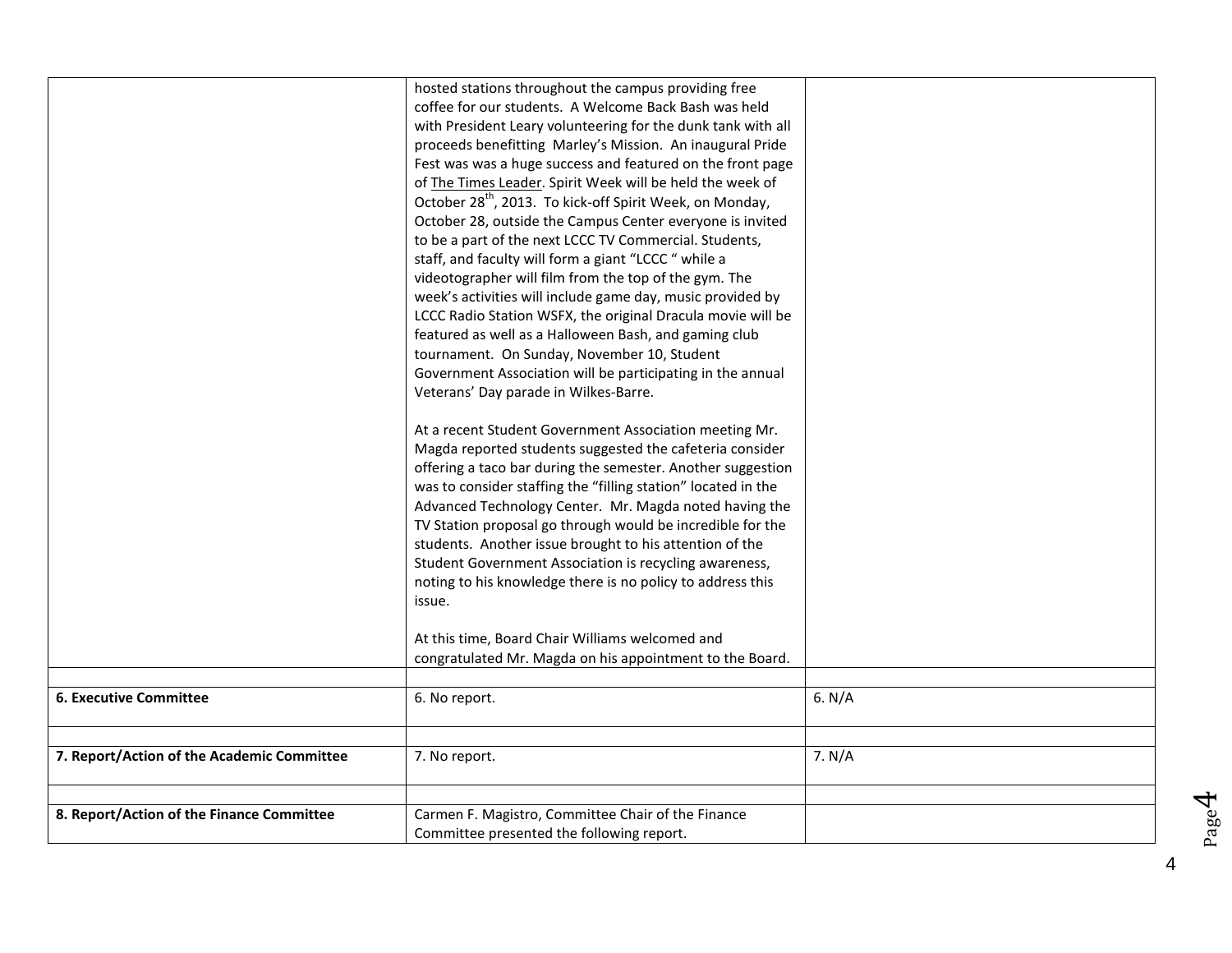|                                            | hosted stations throughout the campus providing free<br>coffee for our students. A Welcome Back Bash was held<br>with President Leary volunteering for the dunk tank with all<br>proceeds benefitting Marley's Mission. An inaugural Pride<br>Fest was was a huge success and featured on the front page<br>of The Times Leader. Spirit Week will be held the week of<br>October 28 <sup>th</sup> , 2013. To kick-off Spirit Week, on Monday,<br>October 28, outside the Campus Center everyone is invited<br>to be a part of the next LCCC TV Commercial. Students,<br>staff, and faculty will form a giant "LCCC" while a<br>videotographer will film from the top of the gym. The<br>week's activities will include game day, music provided by |          |
|--------------------------------------------|----------------------------------------------------------------------------------------------------------------------------------------------------------------------------------------------------------------------------------------------------------------------------------------------------------------------------------------------------------------------------------------------------------------------------------------------------------------------------------------------------------------------------------------------------------------------------------------------------------------------------------------------------------------------------------------------------------------------------------------------------|----------|
|                                            | LCCC Radio Station WSFX, the original Dracula movie will be<br>featured as well as a Halloween Bash, and gaming club<br>tournament. On Sunday, November 10, Student<br>Government Association will be participating in the annual<br>Veterans' Day parade in Wilkes-Barre.                                                                                                                                                                                                                                                                                                                                                                                                                                                                         |          |
|                                            | At a recent Student Government Association meeting Mr.<br>Magda reported students suggested the cafeteria consider<br>offering a taco bar during the semester. Another suggestion<br>was to consider staffing the "filling station" located in the<br>Advanced Technology Center. Mr. Magda noted having the<br>TV Station proposal go through would be incredible for the<br>students. Another issue brought to his attention of the<br>Student Government Association is recycling awareness,<br>noting to his knowledge there is no policy to address this<br>issue.                                                                                                                                                                            |          |
|                                            | At this time, Board Chair Williams welcomed and<br>congratulated Mr. Magda on his appointment to the Board.                                                                                                                                                                                                                                                                                                                                                                                                                                                                                                                                                                                                                                        |          |
| <b>6. Executive Committee</b>              | 6. No report.                                                                                                                                                                                                                                                                                                                                                                                                                                                                                                                                                                                                                                                                                                                                      | 6. $N/A$ |
| 7. Report/Action of the Academic Committee | 7. No report.                                                                                                                                                                                                                                                                                                                                                                                                                                                                                                                                                                                                                                                                                                                                      | 7. N/A   |
| 8. Report/Action of the Finance Committee  | Carmen F. Magistro, Committee Chair of the Finance<br>Committee presented the following report.                                                                                                                                                                                                                                                                                                                                                                                                                                                                                                                                                                                                                                                    |          |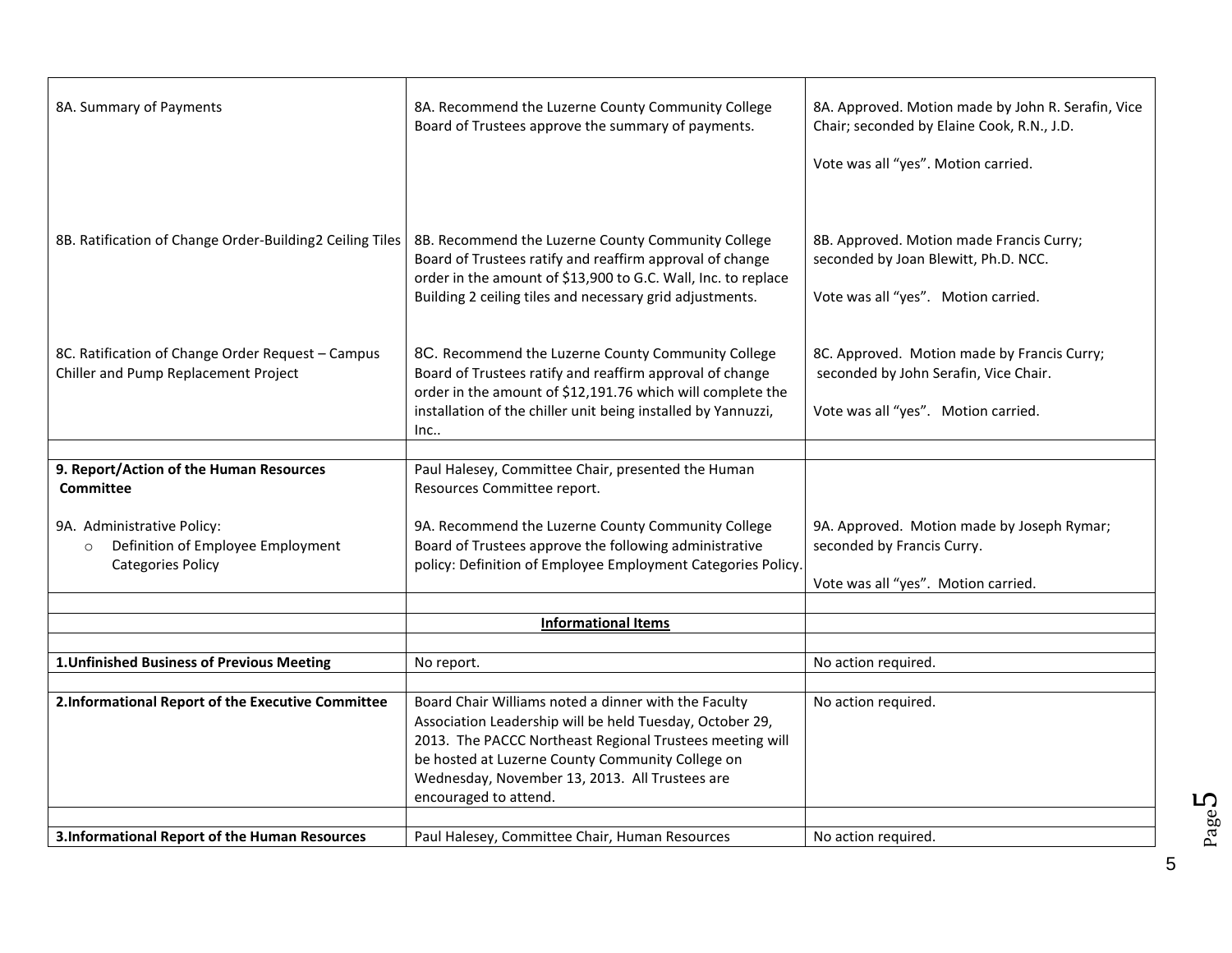| 8A. Summary of Payments                                                                                | 8A. Recommend the Luzerne County Community College<br>Board of Trustees approve the summary of payments.                                                                                                                                                                                                    | 8A. Approved. Motion made by John R. Serafin, Vice<br>Chair; seconded by Elaine Cook, R.N., J.D.<br>Vote was all "yes". Motion carried. |
|--------------------------------------------------------------------------------------------------------|-------------------------------------------------------------------------------------------------------------------------------------------------------------------------------------------------------------------------------------------------------------------------------------------------------------|-----------------------------------------------------------------------------------------------------------------------------------------|
| 8B. Ratification of Change Order-Building2 Ceiling Tiles                                               | 8B. Recommend the Luzerne County Community College<br>Board of Trustees ratify and reaffirm approval of change<br>order in the amount of \$13,900 to G.C. Wall, Inc. to replace<br>Building 2 ceiling tiles and necessary grid adjustments.                                                                 | 8B. Approved. Motion made Francis Curry;<br>seconded by Joan Blewitt, Ph.D. NCC.<br>Vote was all "yes". Motion carried.                 |
| 8C. Ratification of Change Order Request - Campus<br>Chiller and Pump Replacement Project              | 8C. Recommend the Luzerne County Community College<br>Board of Trustees ratify and reaffirm approval of change<br>order in the amount of \$12,191.76 which will complete the<br>installation of the chiller unit being installed by Yannuzzi,<br>Inc                                                        | 8C. Approved. Motion made by Francis Curry;<br>seconded by John Serafin, Vice Chair.<br>Vote was all "yes". Motion carried.             |
| 9. Report/Action of the Human Resources                                                                | Paul Halesey, Committee Chair, presented the Human                                                                                                                                                                                                                                                          |                                                                                                                                         |
| <b>Committee</b>                                                                                       | Resources Committee report.                                                                                                                                                                                                                                                                                 |                                                                                                                                         |
| 9A. Administrative Policy:<br>Definition of Employee Employment<br>$\circ$<br><b>Categories Policy</b> | 9A. Recommend the Luzerne County Community College<br>Board of Trustees approve the following administrative<br>policy: Definition of Employee Employment Categories Policy.                                                                                                                                | 9A. Approved. Motion made by Joseph Rymar;<br>seconded by Francis Curry.<br>Vote was all "yes". Motion carried.                         |
|                                                                                                        | <b>Informational Items</b>                                                                                                                                                                                                                                                                                  |                                                                                                                                         |
|                                                                                                        |                                                                                                                                                                                                                                                                                                             |                                                                                                                                         |
| 1. Unfinished Business of Previous Meeting                                                             | No report.                                                                                                                                                                                                                                                                                                  | No action required.                                                                                                                     |
|                                                                                                        |                                                                                                                                                                                                                                                                                                             |                                                                                                                                         |
| 2.Informational Report of the Executive Committee                                                      | Board Chair Williams noted a dinner with the Faculty<br>Association Leadership will be held Tuesday, October 29,<br>2013. The PACCC Northeast Regional Trustees meeting will<br>be hosted at Luzerne County Community College on<br>Wednesday, November 13, 2013. All Trustees are<br>encouraged to attend. | No action required.                                                                                                                     |
| 3.Informational Report of the Human Resources                                                          | Paul Halesey, Committee Chair, Human Resources                                                                                                                                                                                                                                                              | No action required.                                                                                                                     |